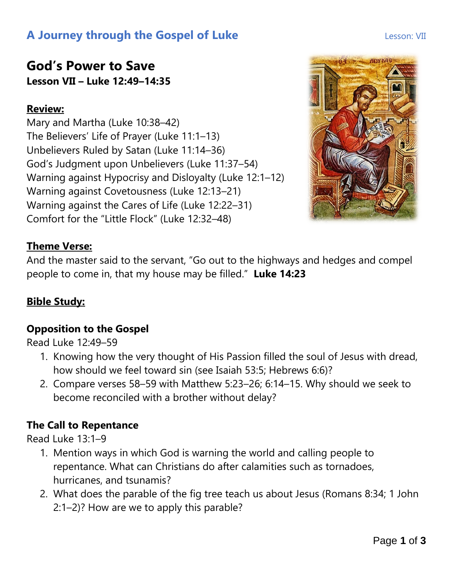# **A Journey through the Gospel of Luke Lesson: VII** Lesson: VII

# **God's Power to Save Lesson VII – Luke 12:49–14:35**

# **Review:**

Mary and Martha (Luke 10:38–42) The Believers' Life of Prayer (Luke 11:1–13) Unbelievers Ruled by Satan (Luke 11:14–36) God's Judgment upon Unbelievers (Luke 11:37–54) Warning against Hypocrisy and Disloyalty (Luke 12:1–12) Warning against Covetousness (Luke 12:13–21) Warning against the Cares of Life (Luke 12:22–31) Comfort for the "Little Flock" (Luke 12:32–48)



## **Theme Verse:**

And the master said to the servant, "Go out to the highways and hedges and compel people to come in, that my house may be filled." **Luke 14:23**

# **Bible Study:**

## **Opposition to the Gospel**

Read Luke 12:49–59

- 1. Knowing how the very thought of His Passion filled the soul of Jesus with dread, how should we feel toward sin (see Isaiah 53:5; Hebrews 6:6)?
- 2. Compare verses 58–59 with Matthew 5:23–26; 6:14–15. Why should we seek to become reconciled with a brother without delay?

## **The Call to Repentance**

Read Luke 13:1–9

- 1. Mention ways in which God is warning the world and calling people to repentance. What can Christians do after calamities such as tornadoes, hurricanes, and tsunamis?
- 2. What does the parable of the fig tree teach us about Jesus (Romans 8:34; 1 John 2:1–2)? How are we to apply this parable?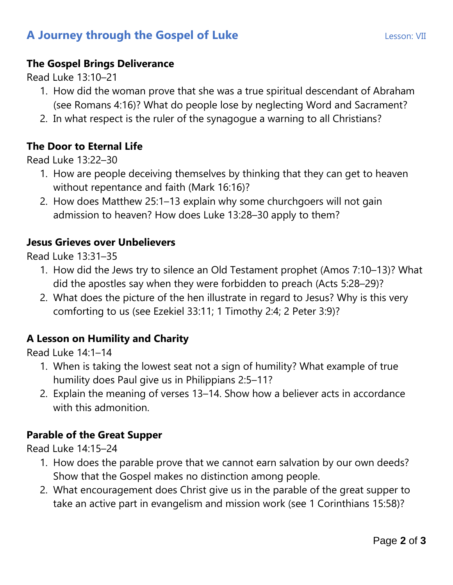# **A Journey through the Gospel of Luke Lesson: VII** Lesson: VII

#### **The Gospel Brings Deliverance**

Read Luke 13:10–21

- 1. How did the woman prove that she was a true spiritual descendant of Abraham (see Romans 4:16)? What do people lose by neglecting Word and Sacrament?
- 2. In what respect is the ruler of the synagogue a warning to all Christians?

#### **The Door to Eternal Life**

Read Luke 13:22–30

- 1. How are people deceiving themselves by thinking that they can get to heaven without repentance and faith (Mark 16:16)?
- 2. How does Matthew 25:1–13 explain why some churchgoers will not gain admission to heaven? How does Luke 13:28–30 apply to them?

#### **Jesus Grieves over Unbelievers**

Read Luke 13:31–35

- 1. How did the Jews try to silence an Old Testament prophet (Amos 7:10–13)? What did the apostles say when they were forbidden to preach (Acts 5:28–29)?
- 2. What does the picture of the hen illustrate in regard to Jesus? Why is this very comforting to us (see Ezekiel 33:11; 1 Timothy 2:4; 2 Peter 3:9)?

#### **A Lesson on Humility and Charity**

Read Luke 14:1–14

- 1. When is taking the lowest seat not a sign of humility? What example of true humility does Paul give us in Philippians 2:5–11?
- 2. Explain the meaning of verses 13–14. Show how a believer acts in accordance with this admonition.

#### **Parable of the Great Supper**

Read Luke 14:15–24

- 1. How does the parable prove that we cannot earn salvation by our own deeds? Show that the Gospel makes no distinction among people.
- 2. What encouragement does Christ give us in the parable of the great supper to take an active part in evangelism and mission work (see 1 Corinthians 15:58)?

Page **2** of **3**